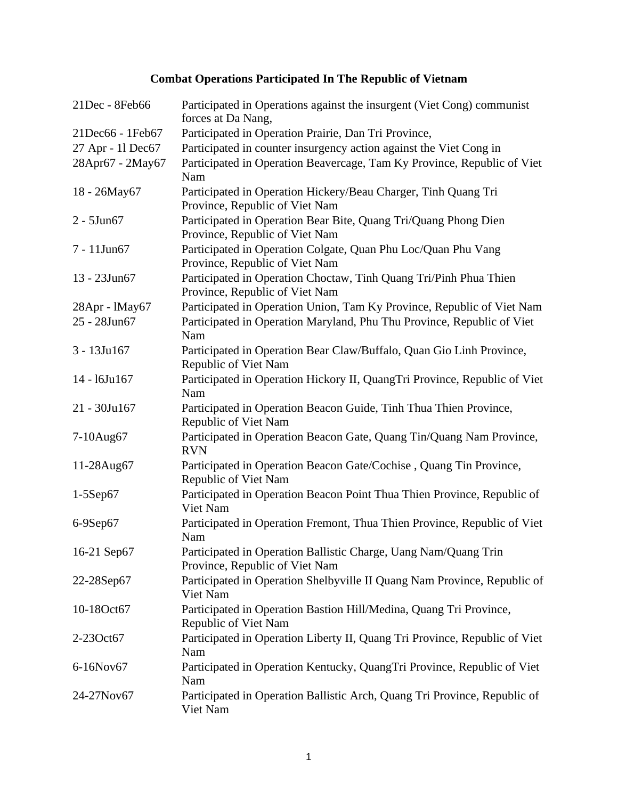## **Combat Operations Participated In The Republic of Vietnam**

| 21Dec - 8Feb66    | Participated in Operations against the insurgent (Viet Cong) communist<br>forces at Da Nang,        |
|-------------------|-----------------------------------------------------------------------------------------------------|
| 21Dec66 - 1Feb67  | Participated in Operation Prairie, Dan Tri Province,                                                |
| 27 Apr - 11 Dec67 | Participated in counter insurgency action against the Viet Cong in                                  |
| 28Apr67 - 2May67  | Participated in Operation Beavercage, Tam Ky Province, Republic of Viet<br>Nam                      |
| 18 - 26May67      | Participated in Operation Hickery/Beau Charger, Tinh Quang Tri<br>Province, Republic of Viet Nam    |
| $2 - 5$ Jun $67$  | Participated in Operation Bear Bite, Quang Tri/Quang Phong Dien<br>Province, Republic of Viet Nam   |
| 7 - 11Jun67       | Participated in Operation Colgate, Quan Phu Loc/Quan Phu Vang<br>Province, Republic of Viet Nam     |
| 13 - 23Jun67      | Participated in Operation Choctaw, Tinh Quang Tri/Pinh Phua Thien<br>Province, Republic of Viet Nam |
| 28Apr - lMay67    | Participated in Operation Union, Tam Ky Province, Republic of Viet Nam                              |
| 25 - 28Jun67      | Participated in Operation Maryland, Phu Thu Province, Republic of Viet<br>Nam                       |
| $3 - 13$ Ju $167$ | Participated in Operation Bear Claw/Buffalo, Quan Gio Linh Province,<br>Republic of Viet Nam        |
| 14 - 16Ju167      | Participated in Operation Hickory II, QuangTri Province, Republic of Viet<br>Nam                    |
| 21 - 30Ju167      | Participated in Operation Beacon Guide, Tinh Thua Thien Province,<br>Republic of Viet Nam           |
| 7-10Aug67         | Participated in Operation Beacon Gate, Quang Tin/Quang Nam Province,<br><b>RVN</b>                  |
| 11-28Aug67        | Participated in Operation Beacon Gate/Cochise, Quang Tin Province,<br>Republic of Viet Nam          |
| $1-5$ Sep $67$    | Participated in Operation Beacon Point Thua Thien Province, Republic of<br>Viet Nam                 |
| 6-9Sep67          | Participated in Operation Fremont, Thua Thien Province, Republic of Viet<br>Nam                     |
| 16-21 Sep67       | Participated in Operation Ballistic Charge, Uang Nam/Quang Trin<br>Province, Republic of Viet Nam   |
| 22-28Sep67        | Participated in Operation Shelbyville II Quang Nam Province, Republic of<br>Viet Nam                |
| 10-18Oct67        | Participated in Operation Bastion Hill/Medina, Quang Tri Province,<br>Republic of Viet Nam          |
| 2-23Oct67         | Participated in Operation Liberty II, Quang Tri Province, Republic of Viet<br>Nam                   |
| 6-16Nov67         | Participated in Operation Kentucky, QuangTri Province, Republic of Viet<br>Nam                      |
| 24-27Nov67        | Participated in Operation Ballistic Arch, Quang Tri Province, Republic of<br>Viet Nam               |